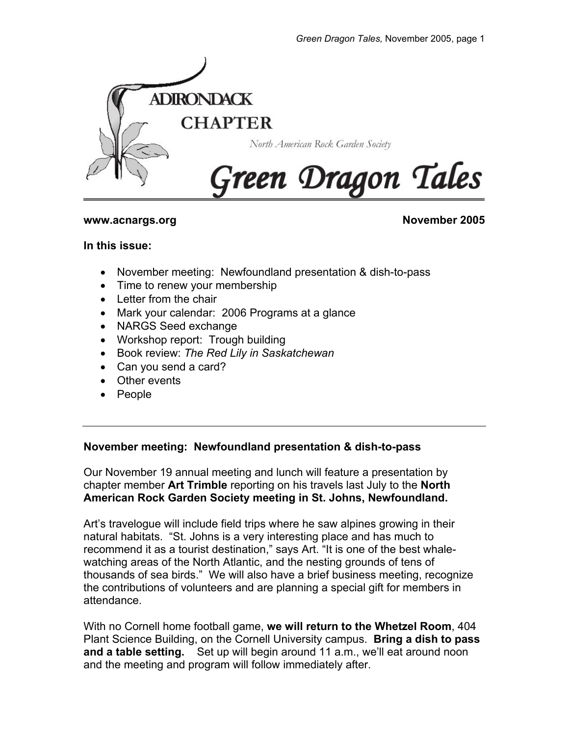

#### **www.acnargs.org November 2005**

#### **In this issue:**

- November meeting: Newfoundland presentation & dish-to-pass
- Time to renew your membership
- Letter from the chair
- Mark your calendar: 2006 Programs at a glance
- NARGS Seed exchange
- Workshop report: Trough building
- Book review: *The Red Lily in Saskatchewan*
- Can you send a card?
- Other events
- People

#### **November meeting: Newfoundland presentation & dish-to-pass**

Our November 19 annual meeting and lunch will feature a presentation by chapter member **Art Trimble** reporting on his travels last July to the **North American Rock Garden Society meeting in St. Johns, Newfoundland.** 

Art's travelogue will include field trips where he saw alpines growing in their natural habitats. "St. Johns is a very interesting place and has much to recommend it as a tourist destination," says Art. "It is one of the best whalewatching areas of the North Atlantic, and the nesting grounds of tens of thousands of sea birds." We will also have a brief business meeting, recognize the contributions of volunteers and are planning a special gift for members in attendance.

With no Cornell home football game, **we will return to the Whetzel Room**, 404 Plant Science Building, on the Cornell University campus. **Bring a dish to pass and a table setting.** Set up will begin around 11 a.m., we'll eat around noon and the meeting and program will follow immediately after.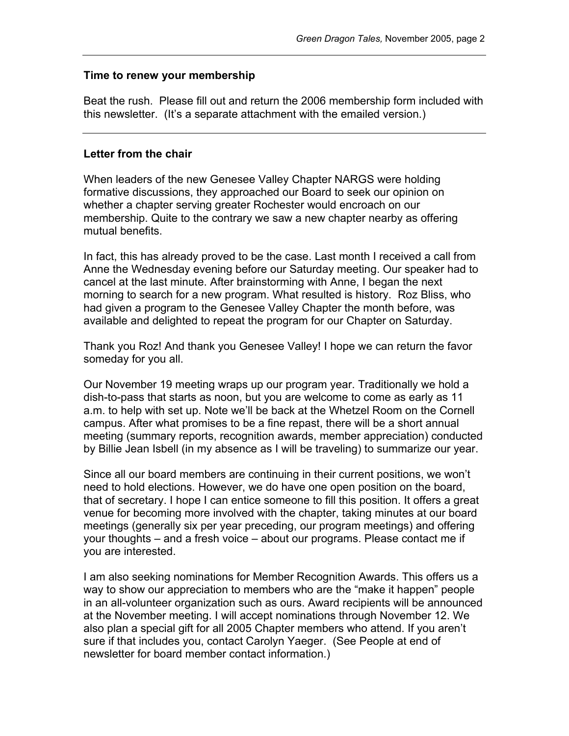#### **Time to renew your membership**

Beat the rush. Please fill out and return the 2006 membership form included with this newsletter. (It's a separate attachment with the emailed version.)

### **Letter from the chair**

When leaders of the new Genesee Valley Chapter NARGS were holding formative discussions, they approached our Board to seek our opinion on whether a chapter serving greater Rochester would encroach on our membership. Quite to the contrary we saw a new chapter nearby as offering mutual benefits.

In fact, this has already proved to be the case. Last month I received a call from Anne the Wednesday evening before our Saturday meeting. Our speaker had to cancel at the last minute. After brainstorming with Anne, I began the next morning to search for a new program. What resulted is history. Roz Bliss, who had given a program to the Genesee Valley Chapter the month before, was available and delighted to repeat the program for our Chapter on Saturday.

Thank you Roz! And thank you Genesee Valley! I hope we can return the favor someday for you all.

Our November 19 meeting wraps up our program year. Traditionally we hold a dish-to-pass that starts as noon, but you are welcome to come as early as 11 a.m. to help with set up. Note we'll be back at the Whetzel Room on the Cornell campus. After what promises to be a fine repast, there will be a short annual meeting (summary reports, recognition awards, member appreciation) conducted by Billie Jean Isbell (in my absence as I will be traveling) to summarize our year.

Since all our board members are continuing in their current positions, we won't need to hold elections. However, we do have one open position on the board, that of secretary. I hope I can entice someone to fill this position. It offers a great venue for becoming more involved with the chapter, taking minutes at our board meetings (generally six per year preceding, our program meetings) and offering your thoughts – and a fresh voice – about our programs. Please contact me if you are interested.

I am also seeking nominations for Member Recognition Awards. This offers us a way to show our appreciation to members who are the "make it happen" people in an all-volunteer organization such as ours. Award recipients will be announced at the November meeting. I will accept nominations through November 12. We also plan a special gift for all 2005 Chapter members who attend. If you aren't sure if that includes you, contact Carolyn Yaeger. (See People at end of newsletter for board member contact information.)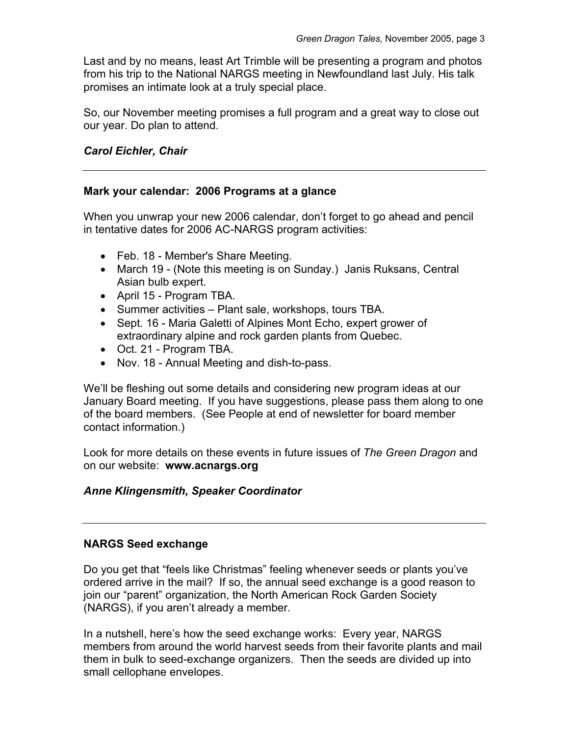Last and by no means, least Art Trimble will be presenting a program and photos from his trip to the National NARGS meeting in Newfoundland last July. His talk promises an intimate look at a truly special place.

So, our November meeting promises a full program and a great way to close out our year. Do plan to attend.

# *Carol Eichler, Chair*

# **Mark your calendar: 2006 Programs at a glance**

When you unwrap your new 2006 calendar, don't forget to go ahead and pencil in tentative dates for 2006 AC-NARGS program activities:

- Feb. 18 Member's Share Meeting.
- March 19 (Note this meeting is on Sunday.) Janis Ruksans, Central Asian bulb expert.
- April 15 Program TBA.
- Summer activities Plant sale, workshops, tours TBA.
- Sept. 16 Maria Galetti of Alpines Mont Echo, expert grower of extraordinary alpine and rock garden plants from Quebec.
- Oct. 21 Program TBA.
- Nov. 18 Annual Meeting and dish-to-pass.

We'll be fleshing out some details and considering new program ideas at our January Board meeting. If you have suggestions, please pass them along to one of the board members. (See People at end of newsletter for board member contact information.)

Look for more details on these events in future issues of *The Green Dragon* and on our website: **www.acnargs.org**

# *Anne Klingensmith, Speaker Coordinator*

# **NARGS Seed exchange**

Do you get that "feels like Christmas" feeling whenever seeds or plants you've ordered arrive in the mail? If so, the annual seed exchange is a good reason to join our "parent" organization, the North American Rock Garden Society (NARGS), if you aren't already a member.

In a nutshell, here's how the seed exchange works: Every year, NARGS members from around the world harvest seeds from their favorite plants and mail them in bulk to seed-exchange organizers. Then the seeds are divided up into small cellophane envelopes.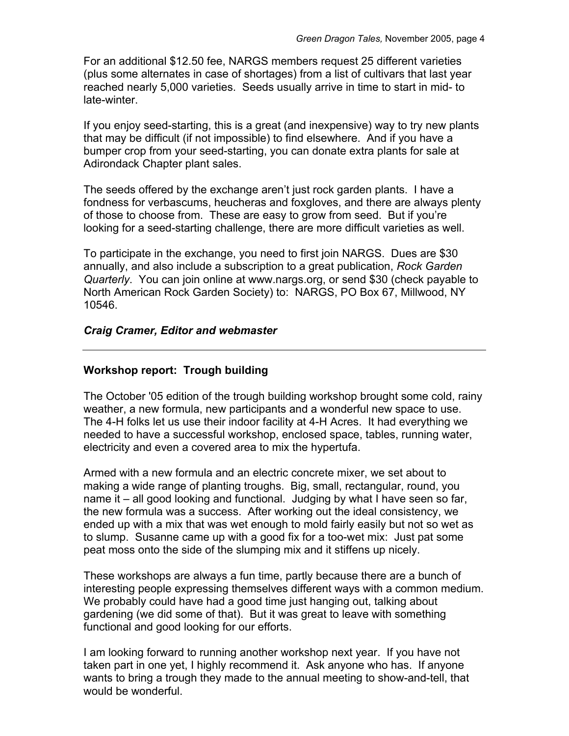For an additional \$12.50 fee, NARGS members request 25 different varieties (plus some alternates in case of shortages) from a list of cultivars that last year reached nearly 5,000 varieties. Seeds usually arrive in time to start in mid- to late-winter.

If you enjoy seed-starting, this is a great (and inexpensive) way to try new plants that may be difficult (if not impossible) to find elsewhere. And if you have a bumper crop from your seed-starting, you can donate extra plants for sale at Adirondack Chapter plant sales.

The seeds offered by the exchange aren't just rock garden plants. I have a fondness for verbascums, heucheras and foxgloves, and there are always plenty of those to choose from. These are easy to grow from seed. But if you're looking for a seed-starting challenge, there are more difficult varieties as well.

To participate in the exchange, you need to first join NARGS. Dues are \$30 annually, and also include a subscription to a great publication, *Rock Garden Quarterly*. You can join online at www.nargs.org, or send \$30 (check payable to North American Rock Garden Society) to: NARGS, PO Box 67, Millwood, NY 10546.

### *Craig Cramer, Editor and webmaster*

# **Workshop report: Trough building**

The October '05 edition of the trough building workshop brought some cold, rainy weather, a new formula, new participants and a wonderful new space to use. The 4-H folks let us use their indoor facility at 4-H Acres. It had everything we needed to have a successful workshop, enclosed space, tables, running water, electricity and even a covered area to mix the hypertufa.

Armed with a new formula and an electric concrete mixer, we set about to making a wide range of planting troughs. Big, small, rectangular, round, you name it – all good looking and functional. Judging by what I have seen so far, the new formula was a success. After working out the ideal consistency, we ended up with a mix that was wet enough to mold fairly easily but not so wet as to slump. Susanne came up with a good fix for a too-wet mix: Just pat some peat moss onto the side of the slumping mix and it stiffens up nicely.

These workshops are always a fun time, partly because there are a bunch of interesting people expressing themselves different ways with a common medium. We probably could have had a good time just hanging out, talking about gardening (we did some of that). But it was great to leave with something functional and good looking for our efforts.

I am looking forward to running another workshop next year. If you have not taken part in one yet, I highly recommend it. Ask anyone who has. If anyone wants to bring a trough they made to the annual meeting to show-and-tell, that would be wonderful.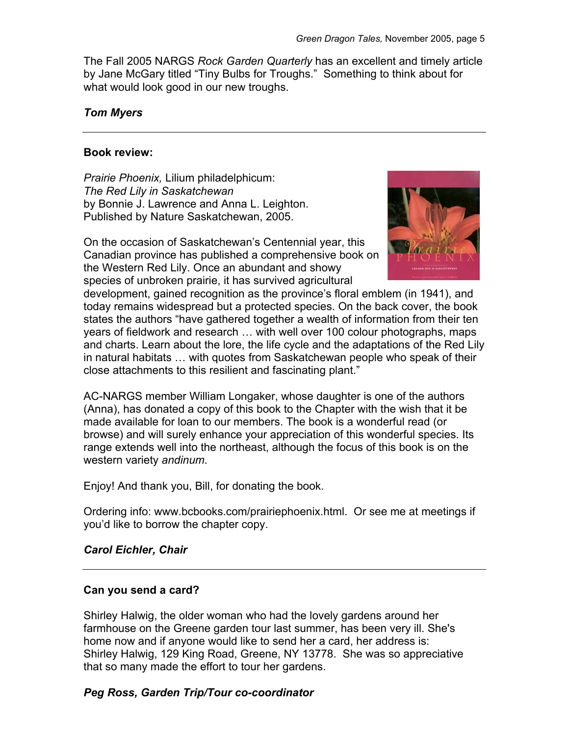The Fall 2005 NARGS *Rock Garden Quarterly* has an excellent and timely article by Jane McGary titled "Tiny Bulbs for Troughs." Something to think about for what would look good in our new troughs.

### *Tom Myers*

### **Book review:**

*Prairie Phoenix,* Lilium philadelphicum: *The Red Lily in Saskatchewan* by Bonnie J. Lawrence and Anna L. Leighton. Published by Nature Saskatchewan, 2005.

On the occasion of Saskatchewan's Centennial year, this Canadian province has published a comprehensive book on the Western Red Lily. Once an abundant and showy species of unbroken prairie, it has survived agricultural



development, gained recognition as the province's floral emblem (in 1941), and today remains widespread but a protected species. On the back cover, the book states the authors "have gathered together a wealth of information from their ten years of fieldwork and research … with well over 100 colour photographs, maps and charts. Learn about the lore, the life cycle and the adaptations of the Red Lily in natural habitats … with quotes from Saskatchewan people who speak of their close attachments to this resilient and fascinating plant."

AC-NARGS member William Longaker, whose daughter is one of the authors (Anna), has donated a copy of this book to the Chapter with the wish that it be made available for loan to our members. The book is a wonderful read (or browse) and will surely enhance your appreciation of this wonderful species. Its range extends well into the northeast, although the focus of this book is on the western variety *andinum*.

Enjoy! And thank you, Bill, for donating the book.

Ordering info: www.bcbooks.com/prairiephoenix.html. Or see me at meetings if you'd like to borrow the chapter copy.

#### *Carol Eichler, Chair*

#### **Can you send a card?**

Shirley Halwig, the older woman who had the lovely gardens around her farmhouse on the Greene garden tour last summer, has been very ill. She's home now and if anyone would like to send her a card, her address is: Shirley Halwig, 129 King Road, Greene, NY 13778. She was so appreciative that so many made the effort to tour her gardens.

# *Peg Ross, Garden Trip/Tour co-coordinator*